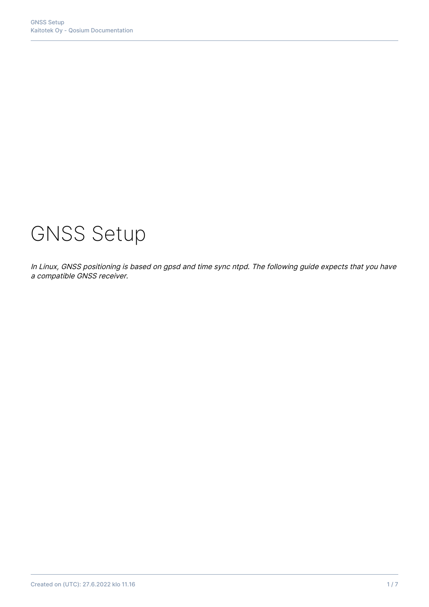# GNSS Setup

In Linux, GNSS positioning is based on gpsd and time sync ntpd. The following guide expects that you have a compatible GNSS receiver.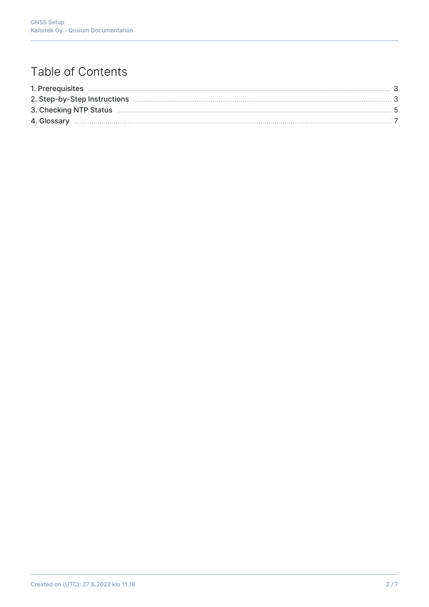# Table of Contents

| 2. Step-by-Step Instructions |  |
|------------------------------|--|
|                              |  |
|                              |  |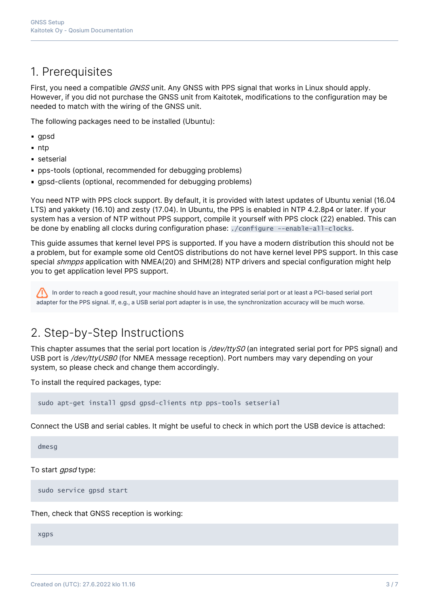## 1. Prerequisites

First, you need a compatible GNSS unit. Any GNSS with PPS signal that works in Linux should apply. However, if you did not purchase the GNSS unit from Kaitotek, modifications to the configuration may be needed to match with the wiring of the GNSS unit.

The following packages need to be installed (Ubuntu):

- **gpsd**
- $n$ ntp
- setserial
- **particular** bps-tools (optional, recommended for debugging problems)
- gpsd-clients (optional, recommended for debugging problems)

You need NTP with PPS clock support. By default, it is provided with latest updates of Ubuntu xenial (16.04 LTS) and yakkety (16.10) and zesty (17.04). In Ubuntu, the PPS is enabled in NTP 4.2.8p4 or later. If your system has a version of NTP without PPS support, compile it yourself with PPS clock (22) enabled. This can be done by enabling all clocks during configuration phase: ./configure --enable-all-clocks.

This guide assumes that kernel level PPS is supported. If you have a modern distribution this should not be a problem, but for example some old CentOS distributions do not have kernel level PPS support. In this case special shmpps application with NMEA(20) and SHM(28) NTP drivers and special configuration might help you to get application level PPS support.

In order to reach a good result, your machine should have an integrated serial port or at least a PCI-based serial port adapter for the PPS signal. If, e.g., a USB serial port adapter is in use, the synchronization accuracy will be much worse.

# 2. Step-by-Step Instructions

This chapter assumes that the serial port location is /dev/ttyS0 (an integrated serial port for PPS signal) and USB port is /dev/ttyUSB0 (for NMEA message reception). Port numbers may vary depending on your system, so please check and change them accordingly.

To install the required packages, type:

sudo apt-get install gpsd gpsd-clients ntp pps-tools setserial

Connect the USB and serial cables. It might be useful to check in which port the USB device is attached:

dmesg

To start *apsd* type:

sudo service gpsd start

Then, check that GNSS reception is working:

xgps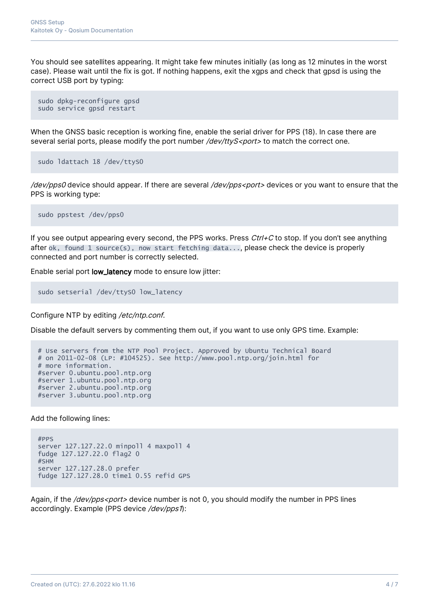You should see satellites appearing. It might take few minutes initially (as long as 12 minutes in the worst case). Please wait until the fix is got. If nothing happens, exit the xgps and check that gpsd is using the correct USB port by typing:

```
sudo dpkg-reconfigure gpsd
sudo service gpsd restart
```
When the GNSS basic reception is working fine, enable the serial driver for PPS (18). In case there are several serial ports, please modify the port number /dev/ttyS<port> to match the correct one.

```
sudo ldattach 18 /dev/ttyS0
```
/dev/pps0 device should appear. If there are several /dev/pps<port> devices or you want to ensure that the PPS is working type:

sudo ppstest /dev/pps0

If you see output appearing every second, the PPS works. Press  $Ctrl + C$  to stop. If you don't see anything after ok, found 1 source(s), now start fetching data..., please check the device is properly connected and port number is correctly selected.

Enable serial port low\_latency mode to ensure low jitter:

```
sudo setserial /dev/ttyS0 low_latency
```
Configure NTP by editing /etc/ntp.conf.

Disable the default servers by commenting them out, if you want to use only GPS time. Example:

```
# Use servers from the NTP Pool Project. Approved by Ubuntu Technical Board
# on 2011-02-08 (LP: #104525). See http://www.pool.ntp.org/join.html for
# more information.
#server 0.ubuntu.pool.ntp.org
#server 1.ubuntu.pool.ntp.org
#server 2.ubuntu.pool.ntp.org
#server 3.ubuntu.pool.ntp.org
```
Add the following lines:

```
#PPS
server 127.127.22.0 minpoll 4 maxpoll 4
fudge 127.127.22.0 flag2 0
#SHM
server 127.127.28.0 prefer
fudge 127.127.28.0 time1 0.55 refid GPS
```
Again, if the /dev/pps<port> device number is not 0, you should modify the number in PPS lines accordingly. Example (PPS device /dev/pps1):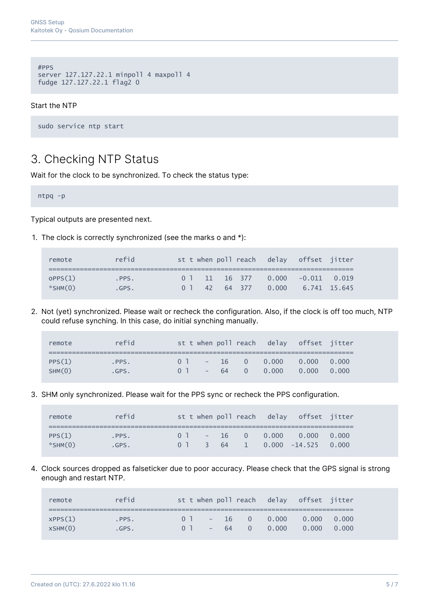```
#PPS
server 127.127.22.1 minpoll 4 maxpoll 4
fudge 127.127.22.1 flag2 0
```
#### Start the NTP

sudo service ntp start

## 3. Checking NTP Status

Wait for the clock to be synchronized. To check the status type:

ntpq -p

Typical outputs are presented next.

1. The clock is correctly synchronized (see the marks o and \*):

| remote                   | refid             |  |                |  | st t when poll reach delay offset jitter                           |  |
|--------------------------|-------------------|--|----------------|--|--------------------------------------------------------------------|--|
| OPPS(1)<br>$*$ SHM $(0)$ | $-$ PPS.<br>.GPS. |  | 0 <sup>1</sup> |  | $0$ 1 11 16 377 0.000 -0.011 0.019<br>42 64 377 0.000 6.741 15.645 |  |

2. Not (yet) synchronized. Please wait or recheck the configuration. Also, if the clock is off too much, NTP could refuse synching. In this case, do initial synching manually.

| remote           | refid         |                                  |  | st t when poll reach delay offset jitter |                           |       |
|------------------|---------------|----------------------------------|--|------------------------------------------|---------------------------|-------|
| PPS(1)<br>SHM(0) | PPS.<br>.GPS. | 0 <sup>1</sup><br>0 <sup>1</sup> |  | $-16$ 0 0.000<br>$-64$ 0 0.000           | $0.000 \t 0.000$<br>0.000 | 0.000 |

3. SHM only synchronized. Please wait for the PPS sync or recheck the PPS configuration.

| remote        | refid |                |  |  | st t when poll reach delay offset jitter |  |
|---------------|-------|----------------|--|--|------------------------------------------|--|
|               |       |                |  |  |                                          |  |
| PPS(1)        | PPS.  | 0 <sup>1</sup> |  |  | $-16$ 0 0.000 0.000 0.000                |  |
| $*$ SHM $(0)$ | .GPS. |                |  |  | $0$ 1 3 64 1 0.000 -14.525 0.000         |  |

4. Clock sources dropped as falseticker due to poor accuracy. Please check that the GPS signal is strong enough and restart NTP.

| remote             | refid         |                                  |  | st t when poll reach delay offset jitter |                               |       |
|--------------------|---------------|----------------------------------|--|------------------------------------------|-------------------------------|-------|
| XPPS(1)<br>XSHM(0) | .PPS.<br>GPS. | 0 <sup>1</sup><br>0 <sup>1</sup> |  | $-16$ 0 0.000<br>$-64$ 0 0.000           | $0.000 \qquad 0.000$<br>0.000 | 0.000 |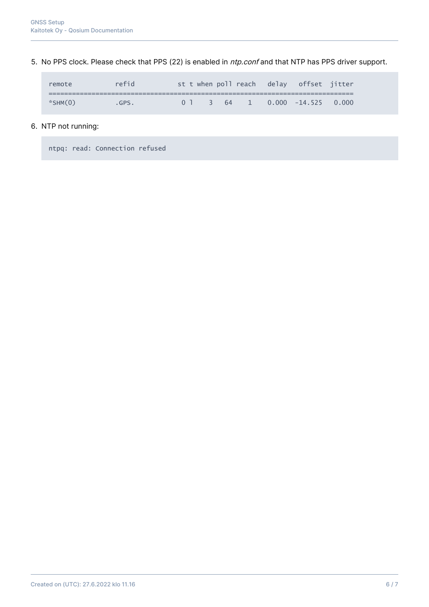5. No PPS clock. Please check that PPS (22) is enabled in *ntp.conf* and that NTP has PPS driver support.

| remote        | refid |  |  |  | st t when poll reach delay offset jitter |  |
|---------------|-------|--|--|--|------------------------------------------|--|
|               |       |  |  |  |                                          |  |
| $*$ SHM $(0)$ | GPS.  |  |  |  | $0$ 1 3 64 1 0.000 -14.525 0.000         |  |

#### 6. NTP not running:

ntpq: read: Connection refused